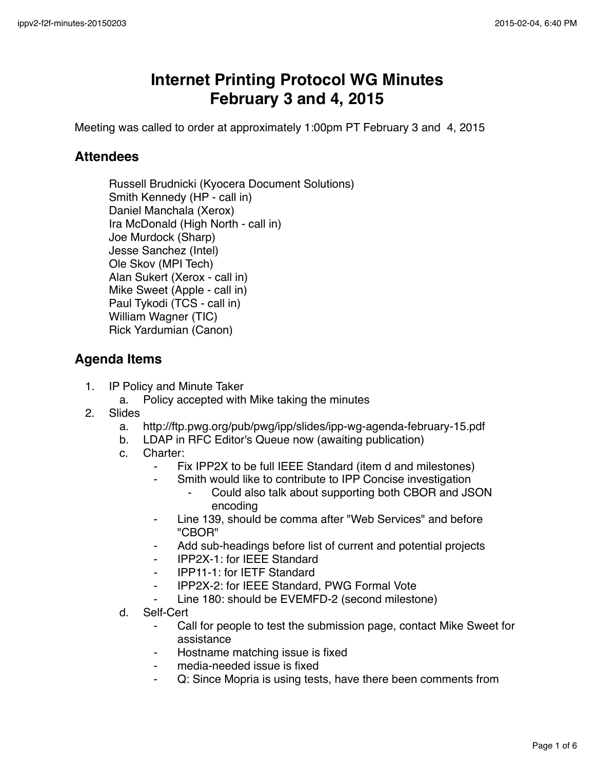## **Internet Printing Protocol WG Minutes February 3 and 4, 2015**

Meeting was called to order at approximately 1:00pm PT February 3 and 4, 2015

## **Attendees**

Russell Brudnicki (Kyocera Document Solutions) Smith Kennedy (HP - call in) Daniel Manchala (Xerox) Ira McDonald (High North - call in) Joe Murdock (Sharp) Jesse Sanchez (Intel) Ole Skov (MPI Tech) Alan Sukert (Xerox - call in) Mike Sweet (Apple - call in) Paul Tykodi (TCS - call in) William Wagner (TIC) Rick Yardumian (Canon)

## **Agenda Items**

- 1. IP Policy and Minute Taker
	- a. Policy accepted with Mike taking the minutes
- 2. Slides
	- a. http://ftp.pwg.org/pub/pwg/ipp/slides/ipp-wg-agenda-february-15.pdf
	- b. LDAP in RFC Editor's Queue now (awaiting publication)
	- c. Charter:
		- ⁃ Fix IPP2X to be full IEEE Standard (item d and milestones)
		- Smith would like to contribute to IPP Concise investigation
			- Could also talk about supporting both CBOR and JSON encoding
		- ⁃ Line 139, should be comma after "Web Services" and before "CBOR"
		- Add sub-headings before list of current and potential projects
		- ⁃ IPP2X-1: for IEEE Standard
		- ⁃ IPP11-1: for IETF Standard
		- ⁃ IPP2X-2: for IEEE Standard, PWG Formal Vote
		- Line 180: should be EVEMFD-2 (second milestone)
	- d. Self-Cert
		- Call for people to test the submission page, contact Mike Sweet for assistance
		- Hostname matching issue is fixed
		- media-needed issue is fixed
		- Q: Since Mopria is using tests, have there been comments from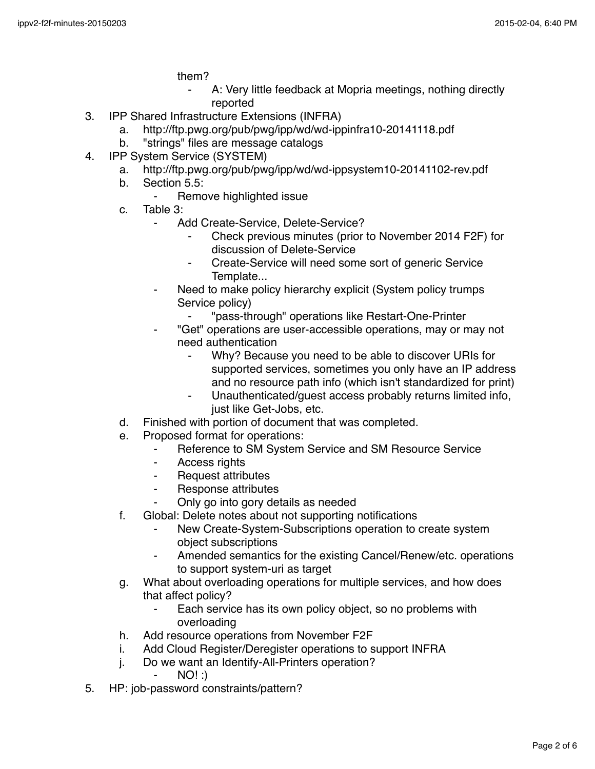them?

- A: Very little feedback at Mopria meetings, nothing directly reported
- 3. IPP Shared Infrastructure Extensions (INFRA)
	- a. http://ftp.pwg.org/pub/pwg/ipp/wd/wd-ippinfra10-20141118.pdf
	- b. "strings" files are message catalogs
- 4. IPP System Service (SYSTEM)
	- a. http://ftp.pwg.org/pub/pwg/ipp/wd/wd-ippsystem10-20141102-rev.pdf
	- b. Section 5.5:
		- Remove highlighted issue
	- c. Table 3:
		- ⁃ Add Create-Service, Delete-Service?
			- Check previous minutes (prior to November 2014 F2F) for discussion of Delete-Service
			- ⁃ Create-Service will need some sort of generic Service Template...
		- Need to make policy hierarchy explicit (System policy trumps) Service policy)
			- ⁃ "pass-through" operations like Restart-One-Printer
		- ⁃ "Get" operations are user-accessible operations, may or may not need authentication
			- Why? Because you need to be able to discover URIs for supported services, sometimes you only have an IP address and no resource path info (which isn't standardized for print)
			- Unauthenticated/quest access probably returns limited info, just like Get-Jobs, etc.
	- d. Finished with portion of document that was completed.
	- e. Proposed format for operations:
		- ⁃ Reference to SM System Service and SM Resource Service
		- ⁃ Access rights
		- ⁃ Request attributes
		- ⁃ Response attributes
		- Only go into gory details as needed
	- f. Global: Delete notes about not supporting notifications
		- New Create-System-Subscriptions operation to create system object subscriptions
		- ⁃ Amended semantics for the existing Cancel/Renew/etc. operations to support system-uri as target
	- g. What about overloading operations for multiple services, and how does that affect policy?
		- ⁃ Each service has its own policy object, so no problems with overloading
	- h. Add resource operations from November F2F
	- i. Add Cloud Register/Deregister operations to support INFRA
	- j. Do we want an Identify-All-Printers operation?
		- $NO!$  :)
- 5. HP: job-password constraints/pattern?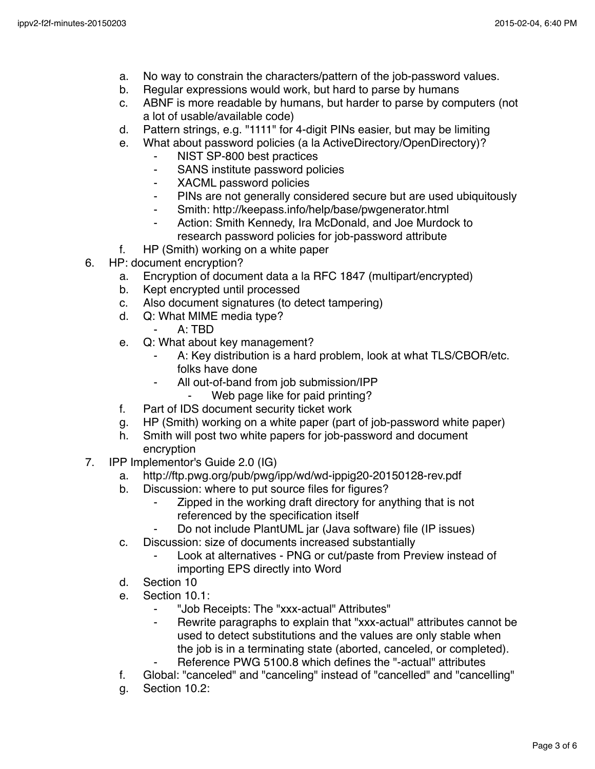- a. No way to constrain the characters/pattern of the job-password values.
- b. Regular expressions would work, but hard to parse by humans
- c. ABNF is more readable by humans, but harder to parse by computers (not a lot of usable/available code)
- d. Pattern strings, e.g. "1111" for 4-digit PINs easier, but may be limiting
- e. What about password policies (a la ActiveDirectory/OpenDirectory)?
	- ⁃ NIST SP-800 best practices
	- ⁃ SANS institute password policies
	- ⁃ XACML password policies
	- ⁃ PINs are not generally considered secure but are used ubiquitously
	- ⁃ Smith: http://keepass.info/help/base/pwgenerator.html
	- ⁃ Action: Smith Kennedy, Ira McDonald, and Joe Murdock to research password policies for job-password attribute
- f. HP (Smith) working on a white paper
- 6. HP: document encryption?
	- a. Encryption of document data a la RFC 1847 (multipart/encrypted)
	- b. Kept encrypted until processed
	- c. Also document signatures (to detect tampering)
	- d. Q: What MIME media type?
		- ⁃ A: TBD
	- e. Q: What about key management?
		- A: Key distribution is a hard problem, look at what TLS/CBOR/etc. folks have done
			- All out-of-band from job submission/IPP
				- ⁃ Web page like for paid printing?
	- f. Part of IDS document security ticket work
	- g. HP (Smith) working on a white paper (part of job-password white paper)
	- h. Smith will post two white papers for job-password and document encryption
- 7. IPP Implementor's Guide 2.0 (IG)
	- a. http://ftp.pwg.org/pub/pwg/ipp/wd/wd-ippig20-20150128-rev.pdf
	- b. Discussion: where to put source files for figures?
		- Zipped in the working draft directory for anything that is not referenced by the specification itself
		- Do not include PlantUML jar (Java software) file (IP issues)
	- c. Discussion: size of documents increased substantially
		- Look at alternatives PNG or cut/paste from Preview instead of importing EPS directly into Word
	- d. Section 10
	- e. Section 10.1:
		- ⁃ "Job Receipts: The "xxx-actual" Attributes"
		- ⁃ Rewrite paragraphs to explain that "xxx-actual" attributes cannot be used to detect substitutions and the values are only stable when the job is in a terminating state (aborted, canceled, or completed).
		- Reference PWG 5100.8 which defines the "-actual" attributes
	- f. Global: "canceled" and "canceling" instead of "cancelled" and "cancelling"
	- g. Section 10.2: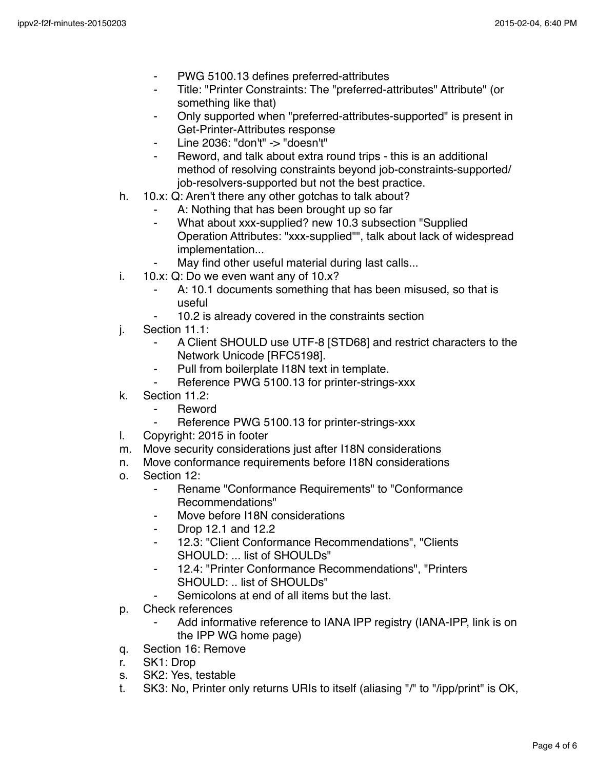- PWG 5100.13 defines preferred-attributes
- Title: "Printer Constraints: The "preferred-attributes" Attribute" (or something like that)
- Only supported when "preferred-attributes-supported" is present in Get-Printer-Attributes response
- ⁃ Line 2036: "don't" -> "doesn't"
- Reword, and talk about extra round trips this is an additional method of resolving constraints beyond job-constraints-supported/ job-resolvers-supported but not the best practice.
- h. 10.x: Q: Aren't there any other gotchas to talk about?
	- A: Nothing that has been brought up so far
	- ⁃ What about xxx-supplied? new 10.3 subsection "Supplied Operation Attributes: "xxx-supplied"", talk about lack of widespread implementation...
	- May find other useful material during last calls...
- i. 10.x: Q: Do we even want any of 10.x?
	- ⁃ A: 10.1 documents something that has been misused, so that is useful
	- 10.2 is already covered in the constraints section
- j. Section 11.1:
	- A Client SHOULD use UTF-8 [STD68] and restrict characters to the Network Unicode [RFC5198].
	- Pull from boilerplate I18N text in template.
	- Reference PWG 5100.13 for printer-strings-xxx
- k. Section 11.2:
	- **Reword**
	- ⁃ Reference PWG 5100.13 for printer-strings-xxx
- l. Copyright: 2015 in footer
- m. Move security considerations just after I18N considerations
- n. Move conformance requirements before I18N considerations
- o. Section 12:
	- ⁃ Rename "Conformance Requirements" to "Conformance Recommendations"
	- Move before I18N considerations
	- ⁃ Drop 12.1 and 12.2
	- 12.3: "Client Conformance Recommendations", "Clients SHOULD: ... list of SHOULDs"
	- ⁃ 12.4: "Printer Conformance Recommendations", "Printers SHOULD: .. list of SHOULDs"
	- Semicolons at end of all items but the last.
- p. Check references
	- Add informative reference to IANA IPP registry (IANA-IPP, link is on the IPP WG home page)
- q. Section 16: Remove
- r. SK1: Drop
- s. SK2: Yes, testable
- t. SK3: No, Printer only returns URIs to itself (aliasing "/" to "/ipp/print" is OK,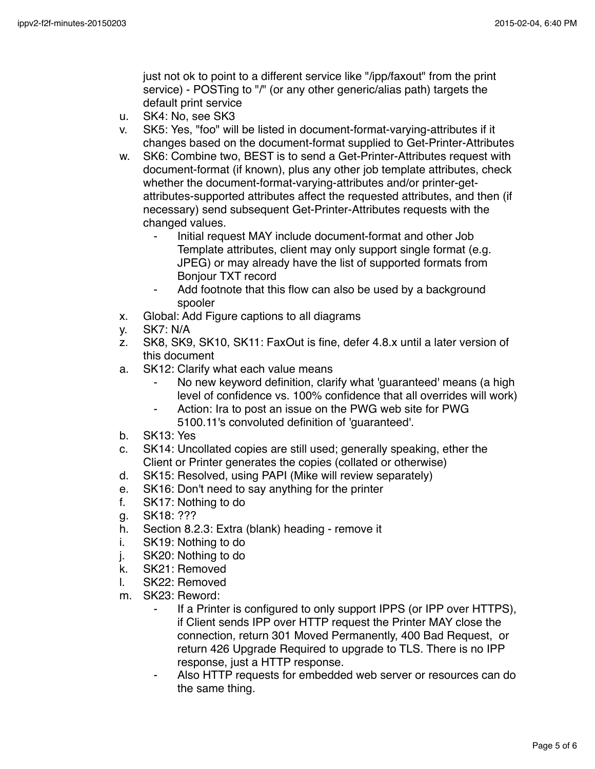just not ok to point to a different service like "/ipp/faxout" from the print service) - POSTing to "/" (or any other generic/alias path) targets the default print service

- u. SK4: No, see SK3
- v. SK5: Yes, "foo" will be listed in document-format-varying-attributes if it changes based on the document-format supplied to Get-Printer-Attributes
- w. SK6: Combine two, BEST is to send a Get-Printer-Attributes request with document-format (if known), plus any other job template attributes, check whether the document-format-varying-attributes and/or printer-getattributes-supported attributes affect the requested attributes, and then (if necessary) send subsequent Get-Printer-Attributes requests with the changed values.
	- Initial request MAY include document-format and other Job Template attributes, client may only support single format (e.g. JPEG) or may already have the list of supported formats from Bonjour TXT record
	- ⁃ Add footnote that this flow can also be used by a background spooler
- x. Global: Add Figure captions to all diagrams
- y. SK7: N/A
- z. SK8, SK9, SK10, SK11: FaxOut is fine, defer 4.8.x until a later version of this document
- a. SK12: Clarify what each value means
	- No new keyword definition, clarify what 'guaranteed' means (a high level of confidence vs. 100% confidence that all overrides will work)
	- Action: Ira to post an issue on the PWG web site for PWG 5100.11's convoluted definition of 'guaranteed'.
- b. SK13: Yes
- c. SK14: Uncollated copies are still used; generally speaking, ether the Client or Printer generates the copies (collated or otherwise)
- d. SK15: Resolved, using PAPI (Mike will review separately)
- e. SK16: Don't need to say anything for the printer
- f. SK17: Nothing to do
- g. SK18: ???
- h. Section 8.2.3: Extra (blank) heading remove it
- i. SK19: Nothing to do
- j. SK20: Nothing to do
- k. SK21: Removed
- l. SK22: Removed
- m. SK23: Reword:
	- If a Printer is configured to only support IPPS (or IPP over HTTPS), if Client sends IPP over HTTP request the Printer MAY close the connection, return 301 Moved Permanently, 400 Bad Request, or return 426 Upgrade Required to upgrade to TLS. There is no IPP response, just a HTTP response.
	- Also HTTP requests for embedded web server or resources can do the same thing.